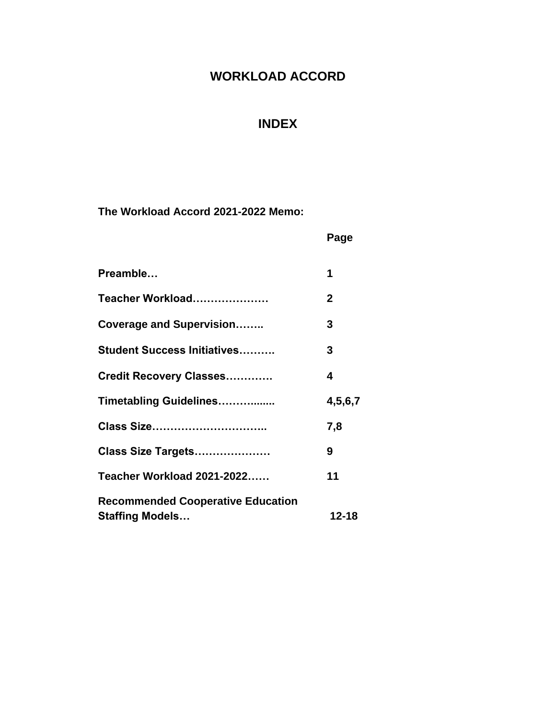# **WORKLOAD ACCORD**

# **INDEX**

**The Workload Accord 2021-2022 Memo:**

|                                                                    | Page         |
|--------------------------------------------------------------------|--------------|
| Preamble                                                           | 1            |
| Teacher Workload                                                   | $\mathbf{2}$ |
| <b>Coverage and Supervision</b>                                    | 3            |
| <b>Student Success Initiatives</b>                                 | 3            |
| <b>Credit Recovery Classes</b>                                     | 4            |
| Timetabling Guidelines                                             | 4,5,6,7      |
| Class Size                                                         | 7,8          |
| Class Size Targets                                                 | 9            |
| <b>Teacher Workload 2021-2022</b>                                  | 11           |
| <b>Recommended Cooperative Education</b><br><b>Staffing Models</b> | $12 - 18$    |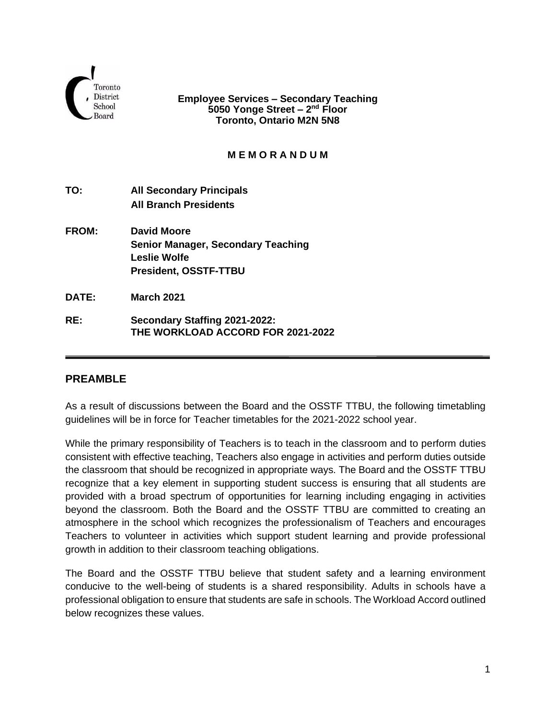

**Employee Services – Secondary Teaching 5050 Yonge Street – 2 nd Floor Toronto, Ontario M2N 5N8**

### **M E M O R A N D U M**

- **TO: All Secondary Principals All Branch Presidents**
- **FROM: David Moore Senior Manager, Secondary Teaching Leslie Wolfe President, OSSTF-TTBU**
- **DATE: March 2021**
- **RE: Secondary Staffing 2021-2022: THE WORKLOAD ACCORD FOR 2021-2022**

## **PREAMBLE**

As a result of discussions between the Board and the OSSTF TTBU, the following timetabling guidelines will be in force for Teacher timetables for the 2021-2022 school year.

While the primary responsibility of Teachers is to teach in the classroom and to perform duties consistent with effective teaching, Teachers also engage in activities and perform duties outside the classroom that should be recognized in appropriate ways. The Board and the OSSTF TTBU recognize that a key element in supporting student success is ensuring that all students are provided with a broad spectrum of opportunities for learning including engaging in activities beyond the classroom. Both the Board and the OSSTF TTBU are committed to creating an atmosphere in the school which recognizes the professionalism of Teachers and encourages Teachers to volunteer in activities which support student learning and provide professional growth in addition to their classroom teaching obligations.

The Board and the OSSTF TTBU believe that student safety and a learning environment conducive to the well-being of students is a shared responsibility. Adults in schools have a professional obligation to ensure that students are safe in schools. The Workload Accord outlined below recognizes these values.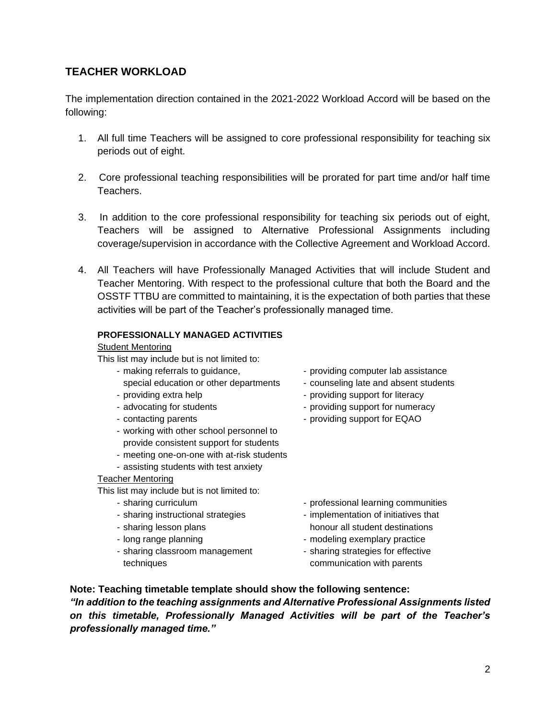## **TEACHER WORKLOAD**

The implementation direction contained in the 2021-2022 Workload Accord will be based on the following:

- 1. All full time Teachers will be assigned to core professional responsibility for teaching six periods out of eight.
- 2. Core professional teaching responsibilities will be prorated for part time and/or half time Teachers.
- 3. In addition to the core professional responsibility for teaching six periods out of eight, Teachers will be assigned to Alternative Professional Assignments including coverage/supervision in accordance with the Collective Agreement and Workload Accord.
- 4. All Teachers will have Professionally Managed Activities that will include Student and Teacher Mentoring. With respect to the professional culture that both the Board and the OSSTF TTBU are committed to maintaining, it is the expectation of both parties that these activities will be part of the Teacher's professionally managed time.

#### **PROFESSIONALLY MANAGED ACTIVITIES**

#### Student Mentoring

This list may include but is not limited to:

- - special education or other departments counseling late and absent students
- 
- 
- 
- working with other school personnel to provide consistent support for students
- meeting one-on-one with at-risk students
- assisting students with test anxiety

#### Teacher Mentoring

This list may include but is not limited to:

- 
- 
- 
- 
- sharing classroom management sharing strategies for effective techniques communication with parents
- making referrals to guidance,  $\blacksquare$  providing computer lab assistance
	-
- providing extra help  $\overline{\phantom{a}}$  providing support for literacy
- advocating for students providing support for numeracy
- contacting parents providing support for EQAO

- sharing curriculum  $\blacksquare$  professional learning communities
- sharing instructional strategies implementation of initiatives that - sharing lesson plans honour all student destinations
- long range planning exemplary practice  $\blacksquare$ 
	-

**Note: Teaching timetable template should show the following sentence:** *"In addition to the teaching assignments and Alternative Professional Assignments listed on this timetable, Professionally Managed Activities will be part of the Teacher's professionally managed time."*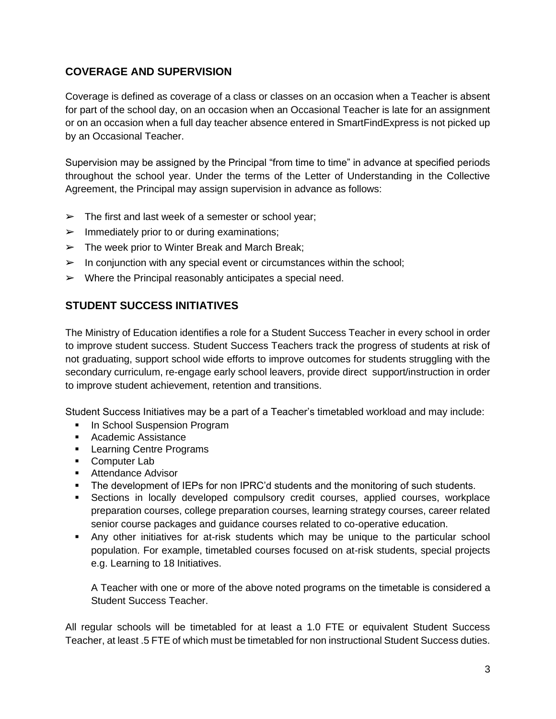## **COVERAGE AND SUPERVISION**

Coverage is defined as coverage of a class or classes on an occasion when a Teacher is absent for part of the school day, on an occasion when an Occasional Teacher is late for an assignment or on an occasion when a full day teacher absence entered in SmartFindExpress is not picked up by an Occasional Teacher.

Supervision may be assigned by the Principal "from time to time" in advance at specified periods throughout the school year. Under the terms of the Letter of Understanding in the Collective Agreement, the Principal may assign supervision in advance as follows:

- $\triangleright$  The first and last week of a semester or school year;
- $\triangleright$  Immediately prior to or during examinations;
- $\triangleright$  The week prior to Winter Break and March Break;
- $\triangleright$  In conjunction with any special event or circumstances within the school;
- $\triangleright$  Where the Principal reasonably anticipates a special need.

## **STUDENT SUCCESS INITIATIVES**

The Ministry of Education identifies a role for a Student Success Teacher in every school in order to improve student success. Student Success Teachers track the progress of students at risk of not graduating, support school wide efforts to improve outcomes for students struggling with the secondary curriculum, re-engage early school leavers, provide direct support/instruction in order to improve student achievement, retention and transitions.

Student Success Initiatives may be a part of a Teacher's timetabled workload and may include:

- **In School Suspension Program**
- Academic Assistance
- Learning Centre Programs
- Computer Lab
- Attendance Advisor
- The development of IEPs for non IPRC'd students and the monitoring of such students.
- Sections in locally developed compulsory credit courses, applied courses, workplace preparation courses, college preparation courses, learning strategy courses, career related senior course packages and guidance courses related to co-operative education.
- Any other initiatives for at-risk students which may be unique to the particular school population. For example, timetabled courses focused on at-risk students, special projects e.g. Learning to 18 Initiatives.

A Teacher with one or more of the above noted programs on the timetable is considered a Student Success Teacher.

All regular schools will be timetabled for at least a 1.0 FTE or equivalent Student Success Teacher, at least .5 FTE of which must be timetabled for non instructional Student Success duties.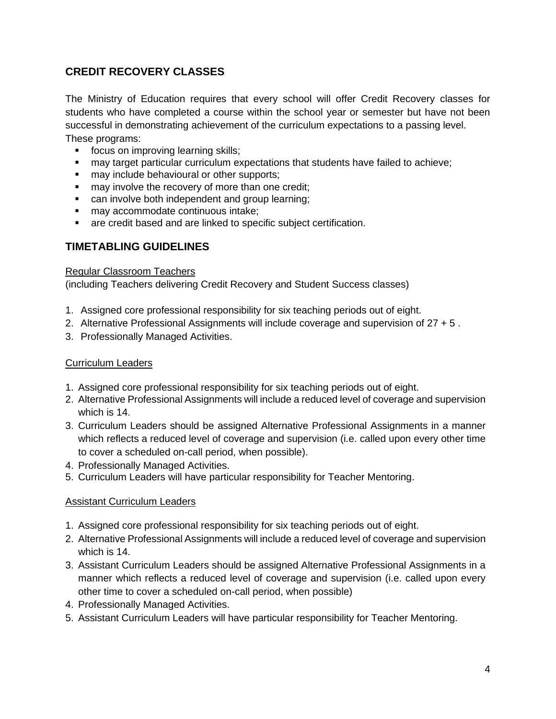## **CREDIT RECOVERY CLASSES**

The Ministry of Education requires that every school will offer Credit Recovery classes for students who have completed a course within the school year or semester but have not been successful in demonstrating achievement of the curriculum expectations to a passing level.

These programs:

- focus on improving learning skills;
- may target particular curriculum expectations that students have failed to achieve;
- may include behavioural or other supports;
- may involve the recovery of more than one credit;
- can involve both independent and group learning;
- may accommodate continuous intake;
- are credit based and are linked to specific subject certification.

## **TIMETABLING GUIDELINES**

#### Regular Classroom Teachers

(including Teachers delivering Credit Recovery and Student Success classes)

- 1. Assigned core professional responsibility for six teaching periods out of eight.
- 2. Alternative Professional Assignments will include coverage and supervision of 27 + 5 .
- 3. Professionally Managed Activities.

#### Curriculum Leaders

- 1. Assigned core professional responsibility for six teaching periods out of eight.
- 2. Alternative Professional Assignments will include a reduced level of coverage and supervision which is 14.
- 3. Curriculum Leaders should be assigned Alternative Professional Assignments in a manner which reflects a reduced level of coverage and supervision (i.e. called upon every other time to cover a scheduled on-call period, when possible).
- 4. Professionally Managed Activities.
- 5. Curriculum Leaders will have particular responsibility for Teacher Mentoring.

#### Assistant Curriculum Leaders

- 1. Assigned core professional responsibility for six teaching periods out of eight.
- 2. Alternative Professional Assignments will include a reduced level of coverage and supervision which is 14.
- 3. Assistant Curriculum Leaders should be assigned Alternative Professional Assignments in a manner which reflects a reduced level of coverage and supervision (i.e. called upon every other time to cover a scheduled on-call period, when possible)
- 4. Professionally Managed Activities.
- 5. Assistant Curriculum Leaders will have particular responsibility for Teacher Mentoring.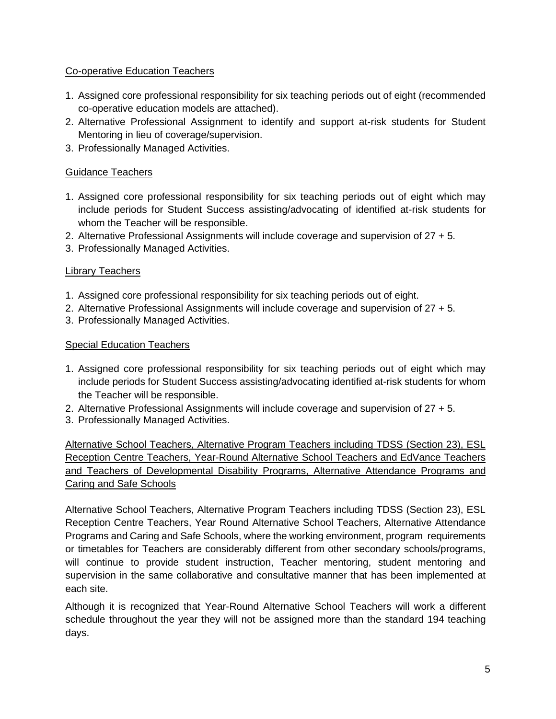## Co-operative Education Teachers

- 1. Assigned core professional responsibility for six teaching periods out of eight (recommended co-operative education models are attached).
- 2. Alternative Professional Assignment to identify and support at-risk students for Student Mentoring in lieu of coverage/supervision.
- 3. Professionally Managed Activities.

## Guidance Teachers

- 1. Assigned core professional responsibility for six teaching periods out of eight which may include periods for Student Success assisting/advocating of identified at-risk students for whom the Teacher will be responsible.
- 2. Alternative Professional Assignments will include coverage and supervision of 27 + 5.
- 3. Professionally Managed Activities.

## Library Teachers

- 1. Assigned core professional responsibility for six teaching periods out of eight.
- 2. Alternative Professional Assignments will include coverage and supervision of 27 + 5.
- 3. Professionally Managed Activities.

## Special Education Teachers

- 1. Assigned core professional responsibility for six teaching periods out of eight which may include periods for Student Success assisting/advocating identified at-risk students for whom the Teacher will be responsible.
- 2. Alternative Professional Assignments will include coverage and supervision of 27 + 5.
- 3. Professionally Managed Activities.

Alternative School Teachers, Alternative Program Teachers including TDSS (Section 23), ESL Reception Centre Teachers, Year-Round Alternative School Teachers and EdVance Teachers and Teachers of Developmental Disability Programs, Alternative Attendance Programs and Caring and Safe Schools

Alternative School Teachers, Alternative Program Teachers including TDSS (Section 23), ESL Reception Centre Teachers, Year Round Alternative School Teachers, Alternative Attendance Programs and Caring and Safe Schools, where the working environment, program requirements or timetables for Teachers are considerably different from other secondary schools/programs, will continue to provide student instruction, Teacher mentoring, student mentoring and supervision in the same collaborative and consultative manner that has been implemented at each site.

Although it is recognized that Year-Round Alternative School Teachers will work a different schedule throughout the year they will not be assigned more than the standard 194 teaching days.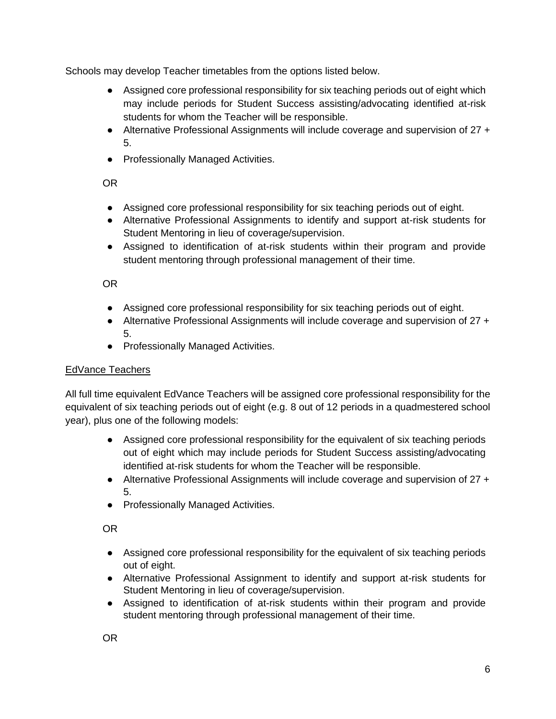Schools may develop Teacher timetables from the options listed below.

- Assigned core professional responsibility for six teaching periods out of eight which may include periods for Student Success assisting/advocating identified at-risk students for whom the Teacher will be responsible.
- Alternative Professional Assignments will include coverage and supervision of 27 + 5.
- Professionally Managed Activities.

OR

- Assigned core professional responsibility for six teaching periods out of eight.
- Alternative Professional Assignments to identify and support at-risk students for Student Mentoring in lieu of coverage/supervision.
- Assigned to identification of at-risk students within their program and provide student mentoring through professional management of their time.

OR

- Assigned core professional responsibility for six teaching periods out of eight.
- Alternative Professional Assignments will include coverage and supervision of 27 + 5.
- Professionally Managed Activities.

## EdVance Teachers

All full time equivalent EdVance Teachers will be assigned core professional responsibility for the equivalent of six teaching periods out of eight (e.g. 8 out of 12 periods in a quadmestered school year), plus one of the following models:

- Assigned core professional responsibility for the equivalent of six teaching periods out of eight which may include periods for Student Success assisting/advocating identified at-risk students for whom the Teacher will be responsible.
- Alternative Professional Assignments will include coverage and supervision of 27 + 5.
- Professionally Managed Activities.

OR

- Assigned core professional responsibility for the equivalent of six teaching periods out of eight.
- Alternative Professional Assignment to identify and support at-risk students for Student Mentoring in lieu of coverage/supervision.
- Assigned to identification of at-risk students within their program and provide student mentoring through professional management of their time.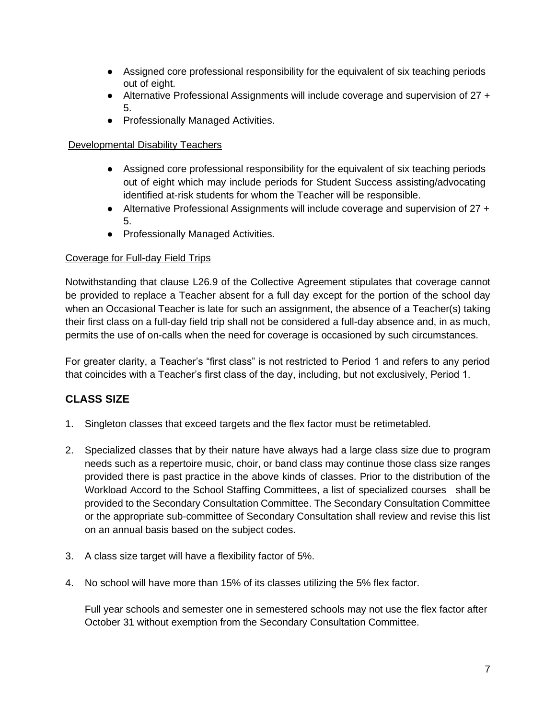- Assigned core professional responsibility for the equivalent of six teaching periods out of eight.
- Alternative Professional Assignments will include coverage and supervision of 27 + 5.
- Professionally Managed Activities.

## Developmental Disability Teachers

- Assigned core professional responsibility for the equivalent of six teaching periods out of eight which may include periods for Student Success assisting/advocating identified at-risk students for whom the Teacher will be responsible.
- Alternative Professional Assignments will include coverage and supervision of 27 + 5.
- Professionally Managed Activities.

## Coverage for Full-day Field Trips

Notwithstanding that clause L26.9 of the Collective Agreement stipulates that coverage cannot be provided to replace a Teacher absent for a full day except for the portion of the school day when an Occasional Teacher is late for such an assignment, the absence of a Teacher(s) taking their first class on a full-day field trip shall not be considered a full-day absence and, in as much, permits the use of on-calls when the need for coverage is occasioned by such circumstances.

For greater clarity, a Teacher's "first class" is not restricted to Period 1 and refers to any period that coincides with a Teacher's first class of the day, including, but not exclusively, Period 1.

## **CLASS SIZE**

- 1. Singleton classes that exceed targets and the flex factor must be retimetabled.
- 2. Specialized classes that by their nature have always had a large class size due to program needs such as a repertoire music, choir, or band class may continue those class size ranges provided there is past practice in the above kinds of classes. Prior to the distribution of the Workload Accord to the School Staffing Committees, a list of specialized courses shall be provided to the Secondary Consultation Committee. The Secondary Consultation Committee or the appropriate sub-committee of Secondary Consultation shall review and revise this list on an annual basis based on the subject codes.
- 3. A class size target will have a flexibility factor of 5%.
- 4. No school will have more than 15% of its classes utilizing the 5% flex factor.

Full year schools and semester one in semestered schools may not use the flex factor after October 31 without exemption from the Secondary Consultation Committee.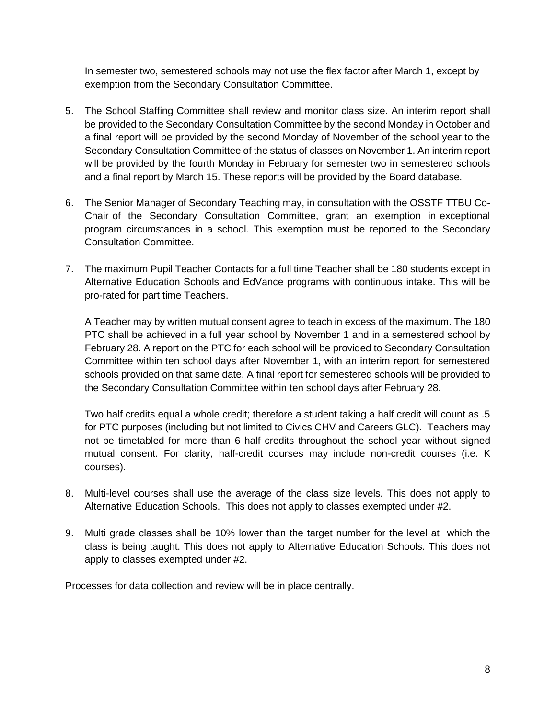In semester two, semestered schools may not use the flex factor after March 1, except by exemption from the Secondary Consultation Committee.

- 5. The School Staffing Committee shall review and monitor class size. An interim report shall be provided to the Secondary Consultation Committee by the second Monday in October and a final report will be provided by the second Monday of November of the school year to the Secondary Consultation Committee of the status of classes on November 1. An interim report will be provided by the fourth Monday in February for semester two in semestered schools and a final report by March 15. These reports will be provided by the Board database.
- 6. The Senior Manager of Secondary Teaching may, in consultation with the OSSTF TTBU Co-Chair of the Secondary Consultation Committee, grant an exemption in exceptional program circumstances in a school. This exemption must be reported to the Secondary Consultation Committee.
- 7. The maximum Pupil Teacher Contacts for a full time Teacher shall be 180 students except in Alternative Education Schools and EdVance programs with continuous intake. This will be pro-rated for part time Teachers.

A Teacher may by written mutual consent agree to teach in excess of the maximum. The 180 PTC shall be achieved in a full year school by November 1 and in a semestered school by February 28. A report on the PTC for each school will be provided to Secondary Consultation Committee within ten school days after November 1, with an interim report for semestered schools provided on that same date. A final report for semestered schools will be provided to the Secondary Consultation Committee within ten school days after February 28.

Two half credits equal a whole credit; therefore a student taking a half credit will count as .5 for PTC purposes (including but not limited to Civics CHV and Careers GLC). Teachers may not be timetabled for more than 6 half credits throughout the school year without signed mutual consent. For clarity, half-credit courses may include non-credit courses (i.e. K courses).

- 8. Multi-level courses shall use the average of the class size levels. This does not apply to Alternative Education Schools. This does not apply to classes exempted under #2.
- 9. Multi grade classes shall be 10% lower than the target number for the level at which the class is being taught. This does not apply to Alternative Education Schools. This does not apply to classes exempted under #2.

Processes for data collection and review will be in place centrally.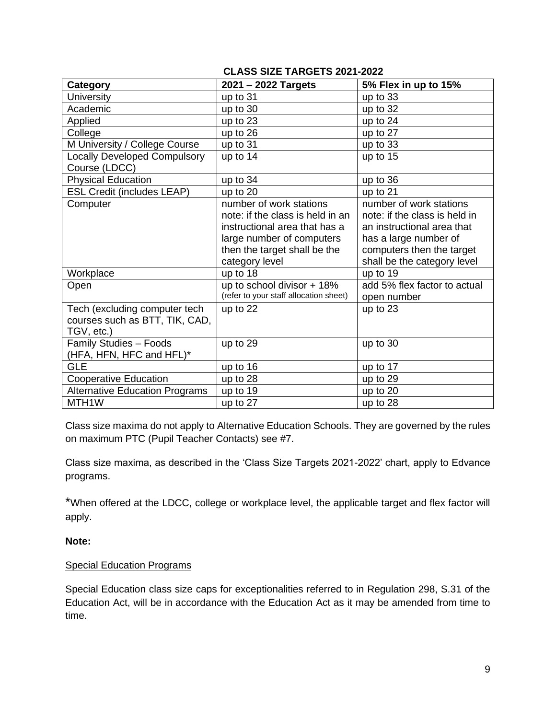## **CLASS SIZE TARGETS 2021-2022**

| Category                              | 2021 - 2022 Targets                    | 5% Flex in up to 15%          |
|---------------------------------------|----------------------------------------|-------------------------------|
| <b>University</b>                     | up to 31                               | up to 33                      |
| Academic                              | up to 30                               | up to 32                      |
| Applied                               | up to 23                               | up to 24                      |
| College                               | up to 26                               | up to 27                      |
| M University / College Course         | up to 31                               | up to 33                      |
| <b>Locally Developed Compulsory</b>   | up to 14                               | up to 15                      |
| Course (LDCC)                         |                                        |                               |
| <b>Physical Education</b>             | up to 34                               | $up$ to 36                    |
| <b>ESL Credit (includes LEAP)</b>     | up to 20                               | up to 21                      |
| Computer                              | number of work stations                | number of work stations       |
|                                       | note: if the class is held in an       | note: if the class is held in |
|                                       | instructional area that has a          | an instructional area that    |
|                                       | large number of computers              | has a large number of         |
|                                       | then the target shall be the           | computers then the target     |
|                                       | category level                         | shall be the category level   |
| Workplace                             | up to 18                               | up to 19                      |
| Open                                  | up to school divisor + 18%             | add 5% flex factor to actual  |
|                                       | (refer to your staff allocation sheet) | open number                   |
| Tech (excluding computer tech         | up to 22                               | up to 23                      |
| courses such as BTT, TIK, CAD,        |                                        |                               |
| TGV, etc.)                            |                                        |                               |
| <b>Family Studies - Foods</b>         | up to 29                               | up to 30                      |
| (HFA, HFN, HFC and HFL)*              |                                        |                               |
| <b>GLE</b>                            | up to 16                               | up to 17                      |
| <b>Cooperative Education</b>          | up to 28                               | up to 29                      |
| <b>Alternative Education Programs</b> | up to 19                               | up to 20                      |
| MTH <sub>1</sub> W                    | up to 27                               | up to 28                      |

Class size maxima do not apply to Alternative Education Schools. They are governed by the rules on maximum PTC (Pupil Teacher Contacts) see #7.

Class size maxima, as described in the 'Class Size Targets 2021-2022' chart, apply to Edvance programs.

\*When offered at the LDCC, college or workplace level, the applicable target and flex factor will apply.

#### **Note:**

#### Special Education Programs

Special Education class size caps for exceptionalities referred to in Regulation 298, S.31 of the Education Act, will be in accordance with the Education Act as it may be amended from time to time.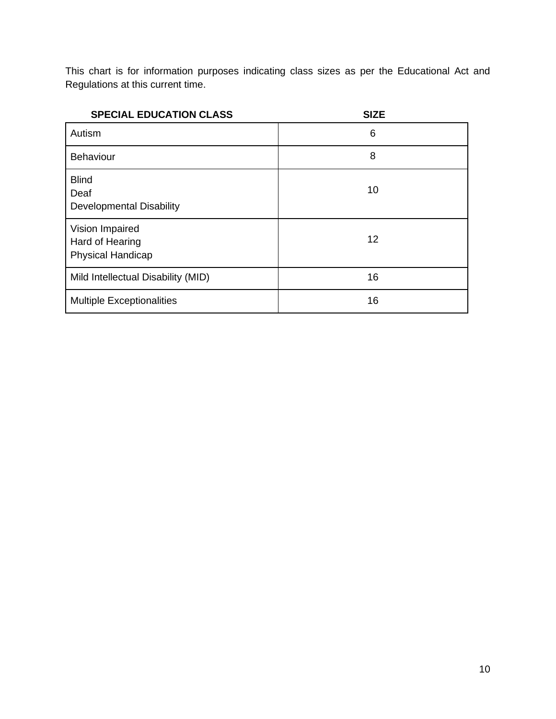This chart is for information purposes indicating class sizes as per the Educational Act and Regulations at this current time.

| <b>SPECIAL EDUCATION CLASS</b>                                 | <b>SIZE</b> |
|----------------------------------------------------------------|-------------|
| Autism                                                         | 6           |
| <b>Behaviour</b>                                               | 8           |
| <b>Blind</b><br>Deaf<br><b>Developmental Disability</b>        | 10          |
| Vision Impaired<br>Hard of Hearing<br><b>Physical Handicap</b> | 12          |
| Mild Intellectual Disability (MID)                             | 16          |
| <b>Multiple Exceptionalities</b>                               | 16          |